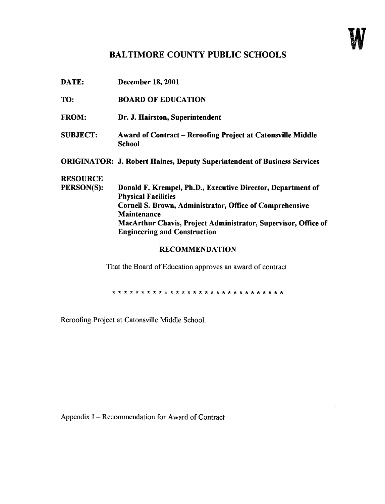## BALTIMORE COUNTY PUBLIC SCHOOLS

| DATE:           | <b>December 18, 2001</b>                                                                  |
|-----------------|-------------------------------------------------------------------------------------------|
| TO:             | <b>BOARD OF EDUCATION</b>                                                                 |
| <b>FROM:</b>    | Dr. J. Hairston, Superintendent                                                           |
| <b>SUBJECT:</b> | <b>Award of Contract – Reroofing Project at Catonsville Middle</b><br>School              |
|                 | <b>ORIGINATOR: J. Robert Haines, Deputy Superintendent of Business Services</b>           |
| <b>RESOURCE</b> |                                                                                           |
| PERSON(S):      | Donald F. Krempel, Ph.D., Executive Director, Department of<br><b>Physical Facilities</b> |
|                 | <b>Cornell S. Brown, Administrator, Office of Comprehensive</b>                           |
|                 | Maintenance                                                                               |
|                 | MacArthur Chavis, Project Administrator, Supervisor, Office of                            |
|                 | <b>Engineering and Construction</b>                                                       |
|                 |                                                                                           |

## RECOMMENDATION

That the Board of Education approves an award of contract.

Reroofing Project at Catonsville Middle School.

Appendix <sup>I</sup> - Recommendation for Award of Contract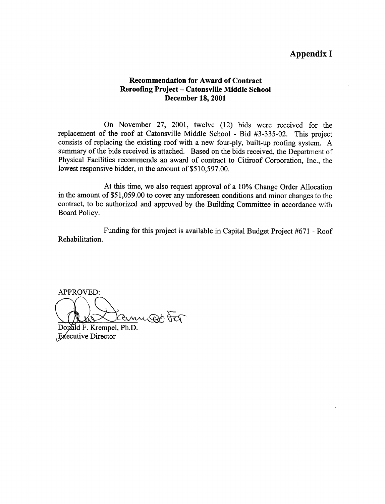## Appendix <sup>I</sup>

## Recommendation for Award of Contract Reroofing Project - Catonsville Middle School December 18, 2001

On November 27, 2001, twelve (12) bids were received for the replacement of the roof at Catonsville Middle School - Bid #3-335-02. This project consists of replacing the existing roof with a new four-ply, built-up roofing system. A summary of the bids received is attached. Based on the bids received, the Department of Physical Facilities recommends an award of contract to Citiroof Corporation, Inc., the lowest responsive bidder, in the amount of \$510,597.00.

At this time, we also request approval of a 10% Change Order Allocation in the amount of \$51,059.00 to cover any unforeseen conditions and minor changes to the contract, to be authorized and approved by the Building Committee in accordance with Board Policy.

Rehabilitation . Funding for this project is available in Capital Budget Project #671 - Roof

APPROVED:

Cany por tor

Donald F. Krempel, Ph.D.  $E$ <sub>e</sub> $\epsilon$ ecutive Director